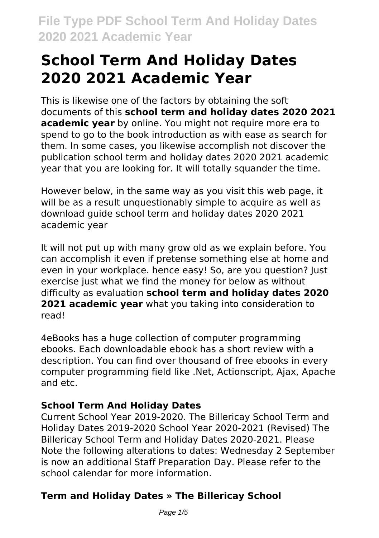# **School Term And Holiday Dates 2020 2021 Academic Year**

This is likewise one of the factors by obtaining the soft documents of this **school term and holiday dates 2020 2021 academic year** by online. You might not require more era to spend to go to the book introduction as with ease as search for them. In some cases, you likewise accomplish not discover the publication school term and holiday dates 2020 2021 academic year that you are looking for. It will totally squander the time.

However below, in the same way as you visit this web page, it will be as a result unquestionably simple to acquire as well as download guide school term and holiday dates 2020 2021 academic year

It will not put up with many grow old as we explain before. You can accomplish it even if pretense something else at home and even in your workplace. hence easy! So, are you question? Just exercise just what we find the money for below as without difficulty as evaluation **school term and holiday dates 2020 2021 academic year** what you taking into consideration to read!

4eBooks has a huge collection of computer programming ebooks. Each downloadable ebook has a short review with a description. You can find over thousand of free ebooks in every computer programming field like .Net, Actionscript, Ajax, Apache and etc.

## **School Term And Holiday Dates**

Current School Year 2019-2020. The Billericay School Term and Holiday Dates 2019-2020 School Year 2020-2021 (Revised) The Billericay School Term and Holiday Dates 2020-2021. Please Note the following alterations to dates: Wednesday 2 September is now an additional Staff Preparation Day. Please refer to the school calendar for more information.

# **Term and Holiday Dates » The Billericay School**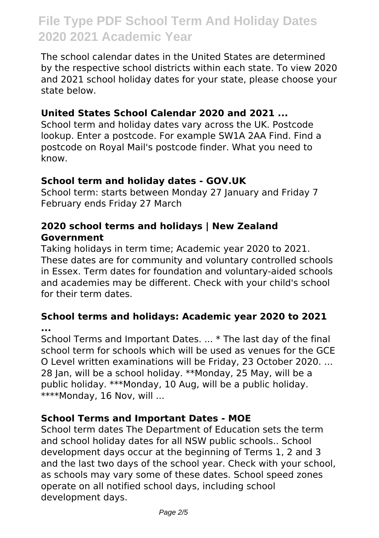The school calendar dates in the United States are determined by the respective school districts within each state. To view 2020 and 2021 school holiday dates for your state, please choose your state below.

#### **United States School Calendar 2020 and 2021 ...**

School term and holiday dates vary across the UK. Postcode lookup. Enter a postcode. For example SW1A 2AA Find. Find a postcode on Royal Mail's postcode finder. What you need to know.

#### **School term and holiday dates - GOV.UK**

School term: starts between Monday 27 January and Friday 7 February ends Friday 27 March

#### **2020 school terms and holidays | New Zealand Government**

Taking holidays in term time; Academic year 2020 to 2021. These dates are for community and voluntary controlled schools in Essex. Term dates for foundation and voluntary-aided schools and academies may be different. Check with your child's school for their term dates.

**School terms and holidays: Academic year 2020 to 2021 ...**

School Terms and Important Dates. ... \* The last day of the final school term for schools which will be used as venues for the GCE O Level written examinations will be Friday, 23 October 2020. ... 28 Jan, will be a school holiday. \*\*Monday, 25 May, will be a public holiday. \*\*\*Monday, 10 Aug, will be a public holiday. \*\*\*\*Monday, 16 Nov, will ...

## **School Terms and Important Dates - MOE**

School term dates The Department of Education sets the term and school holiday dates for all NSW public schools.. School development days occur at the beginning of Terms 1, 2 and 3 and the last two days of the school year. Check with your school, as schools may vary some of these dates. School speed zones operate on all notified school days, including school development days.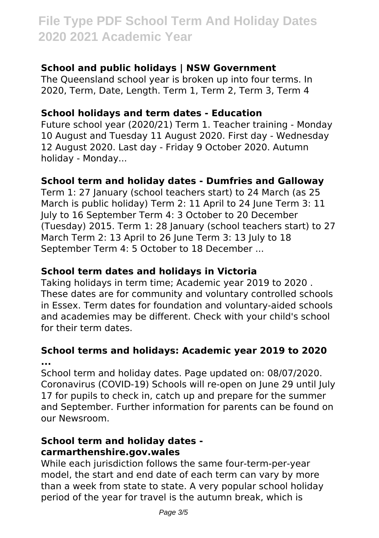### **School and public holidays | NSW Government**

The Queensland school year is broken up into four terms. In 2020, Term, Date, Length. Term 1, Term 2, Term 3, Term 4

#### **School holidays and term dates - Education**

Future school year (2020/21) Term 1. Teacher training - Monday 10 August and Tuesday 11 August 2020. First day - Wednesday 12 August 2020. Last day - Friday 9 October 2020. Autumn holiday - Monday...

#### **School term and holiday dates - Dumfries and Galloway**

Term 1: 27 January (school teachers start) to 24 March (as 25 March is public holiday) Term 2: 11 April to 24 June Term 3: 11 July to 16 September Term 4: 3 October to 20 December (Tuesday) 2015. Term 1: 28 January (school teachers start) to 27 March Term 2: 13 April to 26 June Term 3: 13 July to 18 September Term 4: 5 October to 18 December ...

#### **School term dates and holidays in Victoria**

Taking holidays in term time; Academic year 2019 to 2020 . These dates are for community and voluntary controlled schools in Essex. Term dates for foundation and voluntary-aided schools and academies may be different. Check with your child's school for their term dates.

#### **School terms and holidays: Academic year 2019 to 2020 ...**

School term and holiday dates. Page updated on: 08/07/2020. Coronavirus (COVID-19) Schools will re-open on June 29 until July 17 for pupils to check in, catch up and prepare for the summer and September. Further information for parents can be found on our Newsroom.

### **School term and holiday dates carmarthenshire.gov.wales**

While each jurisdiction follows the same four-term-per-year model, the start and end date of each term can vary by more than a week from state to state. A very popular school holiday period of the year for travel is the autumn break, which is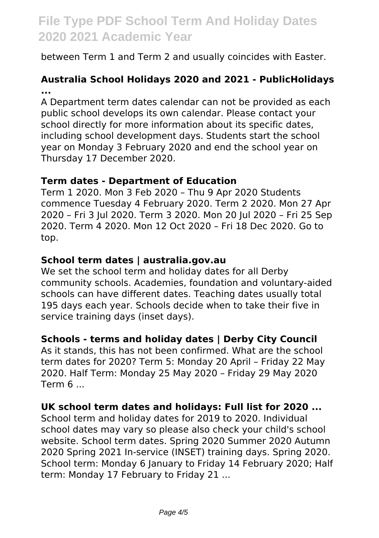between Term 1 and Term 2 and usually coincides with Easter.

## **Australia School Holidays 2020 and 2021 - PublicHolidays ...**

A Department term dates calendar can not be provided as each public school develops its own calendar. Please contact your school directly for more information about its specific dates, including school development days. Students start the school year on Monday 3 February 2020 and end the school year on Thursday 17 December 2020.

#### **Term dates - Department of Education**

Term 1 2020. Mon 3 Feb 2020 – Thu 9 Apr 2020 Students commence Tuesday 4 February 2020. Term 2 2020. Mon 27 Apr 2020 – Fri 3 Jul 2020. Term 3 2020. Mon 20 Jul 2020 – Fri 25 Sep 2020. Term 4 2020. Mon 12 Oct 2020 – Fri 18 Dec 2020. Go to top.

#### **School term dates | australia.gov.au**

We set the school term and holiday dates for all Derby community schools. Academies, foundation and voluntary-aided schools can have different dates. Teaching dates usually total 195 days each year. Schools decide when to take their five in service training days (inset days).

#### **Schools - terms and holiday dates | Derby City Council**

As it stands, this has not been confirmed. What are the school term dates for 2020? Term 5: Monday 20 April – Friday 22 May 2020. Half Term: Monday 25 May 2020 – Friday 29 May 2020 Term 6 ...

#### **UK school term dates and holidays: Full list for 2020 ...**

School term and holiday dates for 2019 to 2020. Individual school dates may vary so please also check your child's school website. School term dates. Spring 2020 Summer 2020 Autumn 2020 Spring 2021 In-service (INSET) training days. Spring 2020. School term: Monday 6 January to Friday 14 February 2020; Half term: Monday 17 February to Friday 21 ...